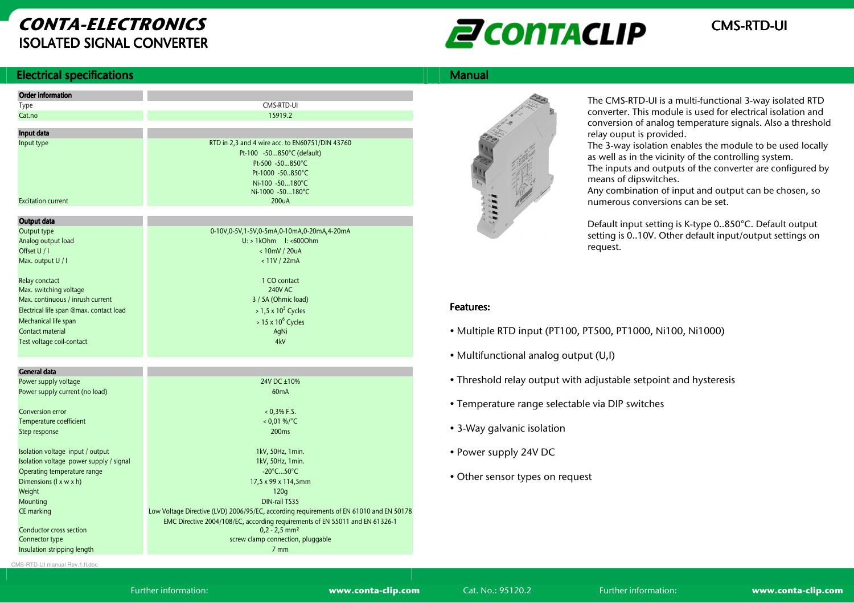# CONTA-ELECTRONICSISOLATED SIGNAL CONVERTER



### **Electrical specifications** s and the state of the state of the state of the state of the Manual Manual Manual Manual Manual Manual Manual

| <b>Order information</b>                |                                                                                         |
|-----------------------------------------|-----------------------------------------------------------------------------------------|
| Type                                    | CMS-RTD-UI                                                                              |
| Cat.no                                  | 15919.2                                                                                 |
|                                         |                                                                                         |
| Input data                              |                                                                                         |
| Input type                              | RTD in 2,3 and 4 wire acc. to EN60751/DIN 43760                                         |
|                                         | Pt-100 -50850°C (default)                                                               |
|                                         | Pt-500 -50850°C                                                                         |
|                                         | Pt-1000 -50850°C                                                                        |
|                                         | Ni-100 -50180°C<br>Ni-1000 -50180°C                                                     |
| <b>Excitation current</b>               | 200 <sub>U</sub> A                                                                      |
|                                         |                                                                                         |
| Output data                             |                                                                                         |
| Output type                             | 0-10V,0-5V,1-5V,0-5mA,0-10mA,0-20mA,4-20mA                                              |
| Analog output load                      | $U:$ > 1kOhm $1:$ <6000hm                                                               |
| Offset U / I                            | <10mV / 20uA                                                                            |
| Max. output U / I                       | < 11V / 22mA                                                                            |
|                                         |                                                                                         |
| Relay conctact                          | 1 CO contact                                                                            |
| Max. switching voltage                  | 240V AC                                                                                 |
| Max. continuous / inrush current        | 3 / 5A (Ohmic load)                                                                     |
| Electrical life span @max. contact load | $> 1.5 \times 10^5$ Cycles                                                              |
| Mechanical life span                    | $> 15 \times 10^6$ Cycles                                                               |
| Contact material                        | AqNi                                                                                    |
| Test voltage coil-contact               | 4kV                                                                                     |
|                                         |                                                                                         |
|                                         |                                                                                         |
| <b>General data</b>                     |                                                                                         |
| Power supply voltage                    | 24V DC +10%                                                                             |
| Power supply current (no load)          | 60mA                                                                                    |
| <b>Conversion error</b>                 | $0,396$ F.S.                                                                            |
| Temperature coefficient                 | $< 0.01$ %/°C                                                                           |
| Step response                           | 200 <sub>ms</sub>                                                                       |
|                                         |                                                                                         |
| Isolation voltage input / output        | 1kV, 50Hz, 1min.                                                                        |
| Isolation voltage power supply / signal | 1kV, 50Hz, 1min.                                                                        |
| Operating temperature range             | $-20^{\circ}$ C50 $^{\circ}$ C                                                          |
| Dimensions (I x w x h)                  | 17,5 x 99 x 114,5mm                                                                     |
| Weight                                  | 120q                                                                                    |
| Mounting                                | DIN-rail TS35                                                                           |
| CE marking                              | Low Voltage Directive (LVD) 2006/95/EC, according requirements of EN 61010 and EN 50178 |
|                                         | EMC Directive 2004/108/EC, according requirements of EN 55011 and EN 61326-1            |
| Conductor cross section                 | $0,2 - 2,5$ mm <sup>2</sup>                                                             |
| Connector type                          | screw clamp connection, pluggable                                                       |
| Insulation stripping length             | 7 <sub>mm</sub>                                                                         |
|                                         |                                                                                         |



The CMS-RTD-UI is a multi-functional 3-way isolated RTD converter. This module is used for electrical isolation and conversion of analog temperature signals. Also a threshold relay ouput is provided.

 The 3-way isolation enables the module to be used locally as well as in the vicinity of the controlling system.

 The inputs and outputs of the converter are configured by means of dipswitches.

 Any combination of input and output can be chosen, so numerous conversions can be set.

Default input setting is K-type 0..850°C. Default output setting is 0..10V. Other default input/output settings on request.

## Features: Features:

- Multiple RTD input (PT100, PT500, PT1000, Ni100, Ni1000)
- Multifunctional analog output (U,I)
- Threshold relay output with adjustable setpoint and hysteresis
- Temperature range selectable via DIP switches
- 3-Way galvanic isolation
- Power supply 24V DC
- Other sensor types on request

CMS-RTD-UI manual Rev.1.fl.doc